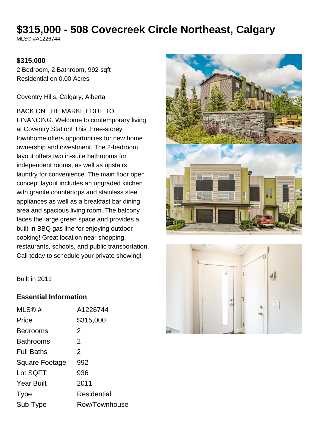# **\$315,000 - 508 Covecreek Circle Northeast, Calgary**

MLS® #A1226744

#### **\$315,000**

2 Bedroom, 2 Bathroom, 992 sqft Residential on 0.00 Acres

Coventry Hills, Calgary, Alberta

BACK ON THE MARKET DUE TO FINANCING. Welcome to contemporary living at Coventry Station! This three-storey townhome offers opportunities for new home ownership and investment. The 2-bedroom layout offers two in-suite bathrooms for independent rooms, as well as upstairs laundry for convenience. The main floor open concept layout includes an upgraded kitchen with granite countertops and stainless steel appliances as well as a breakfast bar dining area and spacious living room. The balcony faces the large green space and provides a built-in BBQ gas line for enjoying outdoor cooking! Great location near shopping, restaurants, schools, and public transportation. Call today to schedule your private showing!





Built in 2011

#### **Essential Information**

| MLS@#                 | A1226744       |
|-----------------------|----------------|
| Price                 | \$315,000      |
| <b>Bedrooms</b>       | 2              |
| <b>Bathrooms</b>      | 2              |
| <b>Full Baths</b>     | $\overline{2}$ |
| <b>Square Footage</b> | 992            |
| Lot SQFT              | 936            |
| <b>Year Built</b>     | 2011           |
| <b>Type</b>           | Residential    |
| Sub-Type              | Row/Townhouse  |
|                       |                |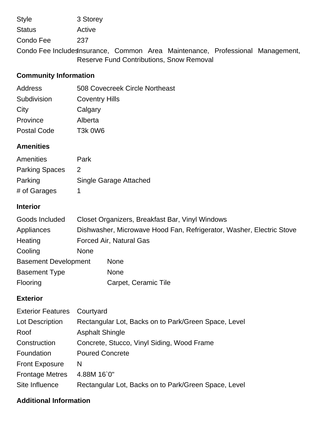Style 3 Storey

Status Active

Condo Fee 237

Condo Fee IncludesInsurance, Common Area Maintenance, Professional Management, Reserve Fund Contributions, Snow Removal

## **Community Information**

| 508 Covecreek Circle Northeast   |
|----------------------------------|
| <b>Coventry Hills</b>            |
| Calgary                          |
| Alberta                          |
| T <sub>3</sub> k 0 <sub>W6</sub> |
|                                  |

## **Amenities**

| Amenities             | Park                          |
|-----------------------|-------------------------------|
| <b>Parking Spaces</b> | $\mathcal{P}$                 |
| Parking               | <b>Single Garage Attached</b> |
| # of Garages          |                               |

### **Interior**

| Goods Included              | Closet Organizers, Breakfast Bar, Vinyl Windows                      |                      |  |
|-----------------------------|----------------------------------------------------------------------|----------------------|--|
| Appliances                  | Dishwasher, Microwave Hood Fan, Refrigerator, Washer, Electric Stove |                      |  |
| Heating                     | Forced Air, Natural Gas                                              |                      |  |
| Cooling                     | <b>None</b>                                                          |                      |  |
| <b>Basement Development</b> |                                                                      | <b>None</b>          |  |
| <b>Basement Type</b>        |                                                                      | <b>None</b>          |  |
| Flooring                    |                                                                      | Carpet, Ceramic Tile |  |

### **Exterior**

| <b>Exterior Features</b> | Courtyard                                            |
|--------------------------|------------------------------------------------------|
| Lot Description          | Rectangular Lot, Backs on to Park/Green Space, Level |
| Roof                     | <b>Asphalt Shingle</b>                               |
| Construction             | Concrete, Stucco, Vinyl Siding, Wood Frame           |
| Foundation               | <b>Poured Concrete</b>                               |
| <b>Front Exposure</b>    | N                                                    |
| <b>Frontage Metres</b>   | 4.88M 16`0"                                          |
| Site Influence           | Rectangular Lot, Backs on to Park/Green Space, Level |

## **Additional Information**